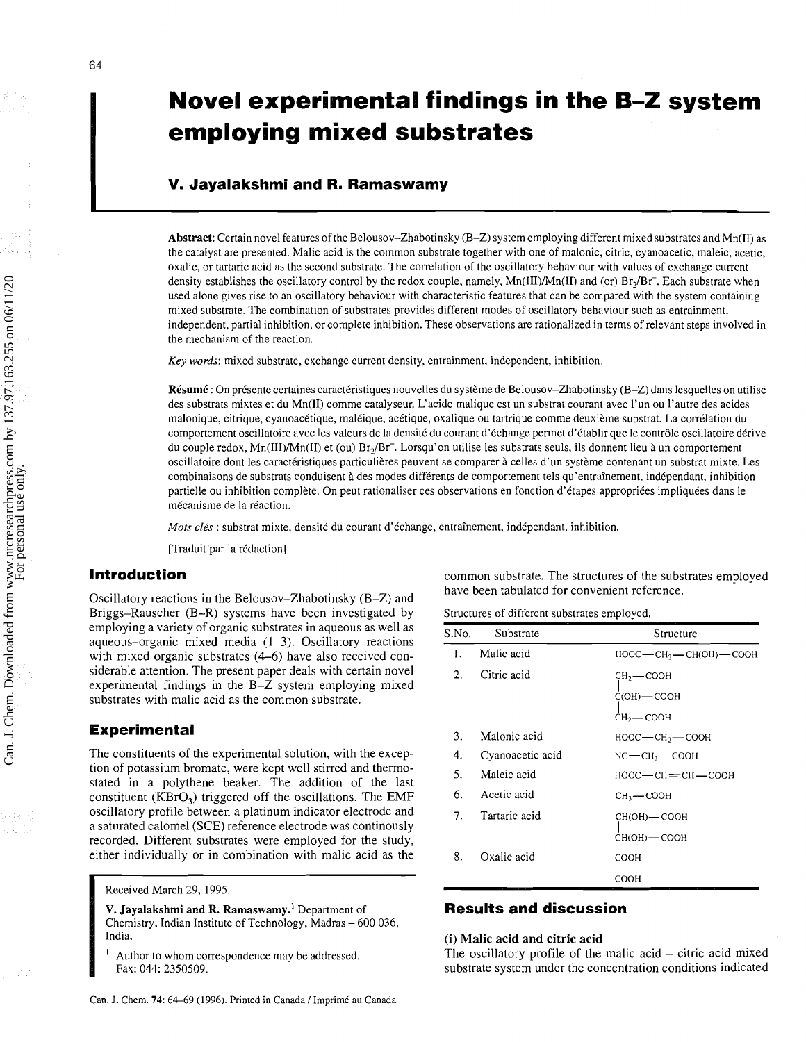# **Novel experimental findings in the B-Z system employing mixed substrates**

# **V. Jayalakshmi and R. Ramaswamy**

**Abstract:** Certain novel features of the Belousov-Zhabotinsky (B-Z) system employing different mixed substrates and Mn(I1) as the catalyst are presented. Malic acid is the common substrate together with one of malonic, citric, cyanoacetic, maleic, acetic, oxalic, or tartaric acid as the second substrate. The correlation of the oscillatory behaviour with values of exchange current density establishes the oscillatory control by the redox couple, namely,  $Mn(III)/Mn(II)$  and (or)  $Br<sub>2</sub>/Br<sub>-</sub>$ . Each substrate when used alone gives rise to an oscillatory behaviour with characteristic features that can be compared with the system containing mixed substrate. The combination of substrates provides different modes of oscillatory behaviour such as entrainment, independent, partial inhibition, or complete inhibition. These observations are rationalized in terms of relevant steps involved in the mechanism of the reaction.

Key words: mixed substrate, exchange current density, entrainment, independent, inhibition.

**Résumé** : On présente certaines caractéristiques nouvelles du système de Belousov-Zhabotinsky (B-Z) dans lesquelles on utilise des substrats mixtes et du Mn(I1) comme catalyseur. L'acide malique est un substrat courant avec l'un ou l'autre des acides malonique, citrique, cyanoacétique, maléique, acétique, oxalique ou tartrique comme deuxième substrat. La corrélation du comportement oscillatoire avec les valeurs de la densité du courant d'échange permet d'établir que le contrôle oscillatoire dérive du couple redox, Mn(III)/Mn(II) et (ou) Br,/Br-. Lorsqu'on utilise les substrats seuls, ils donnent lieu *h* un comportement oscillatoire dont les caractéristiques particulières peuvent se comparer à celles d'un système contenant un substrat mixte. Les combinaisons de substrats conduisent *h* des modes differents de comportement tels qu'entrainement, independant, inhibition partielle ou inhibition complète. On peut rationaliser ces observations en fonction d'étapes appropriées impliquées dans le mécanisme de la réaction.

Mots clés : substrat mixte, densité du courant d'échange, entraînement, indépendant, inhibition.

[Traduit par la rédaction]

# **Introduction**

Oscillatory reactions in the Belousov-Zhabotinsky (B-Z) and Briggs-Rauscher (B-R) systems have been investigated by employing a variety of organic substrates in aqueous as well as aqueous–organic mixed media  $(1-3)$ . Oscillatory reactions with mixed organic substrates  $(4-6)$  have also received considerable attention. The present paper deals with certain novel experimental findings in the B-Z system employing mixed substrates with malic acid as the common substrate.

## **Experimental**

The constituents of the experimental solution, with the exception of potassium bromate, were kept well stirred and thermo-<br>stated in a polythene beaker. The addition of the last constituent ( $KBrO<sub>3</sub>$ ) triggered off the oscillations. The EMF oscillatory profile between a platinum indicator electrode and a saturated calomel (SCE) reference electrode was continously recorded. Different substrates were employed for the study, either individually or in combination with malic acid as the

**V. Jayalakshmi and R. Ramaswamy.**<sup>1</sup> Department of **Results and discussion** Chemistry, Indian Institute of Technology, Madras – 600 036, India.

common substrate. The structures of the substrates employed have been tabulated for convenient reference.

Structures of different substrates employed.

| S.No. | Substrate        | Structure                              |
|-------|------------------|----------------------------------------|
| 1.    | Malic acid       | НООС — СН <sub>2</sub> — СН(ОН) — СООН |
| 2.    | Citric acid      | СH2 — СООН                             |
|       |                  | $C(OH)$ — $COOH$                       |
|       |                  | $CH2$ - COOH                           |
| 3.    | Malonic acid     | $HOOC$ - $CH_2$ - $COOH$               |
| 4.    | Cyanoacetic acid | NC—CH <sub>2</sub> —СООН               |
| 5.    | Maleic acid      | НООС—СН≕СН—СООН                        |
| 6.    | Acetic acid      | CH <sub>3</sub> — COOH                 |
| 7.    | Tartaric acid    | CH(OH) — COOH                          |
|       |                  | CH(OH)-COOH                            |
| 8.    | Oxalic acid      | COOH                                   |
|       |                  | COOH                                   |

#### (i) Malic acid and citric acid

Author to whom correspondence may be addressed. The oscillatory profile of the malic acid - citric acid mixed Fax: 044: 2350509. Substrate system under the concentration conditions indicated

Received March 29, 1995.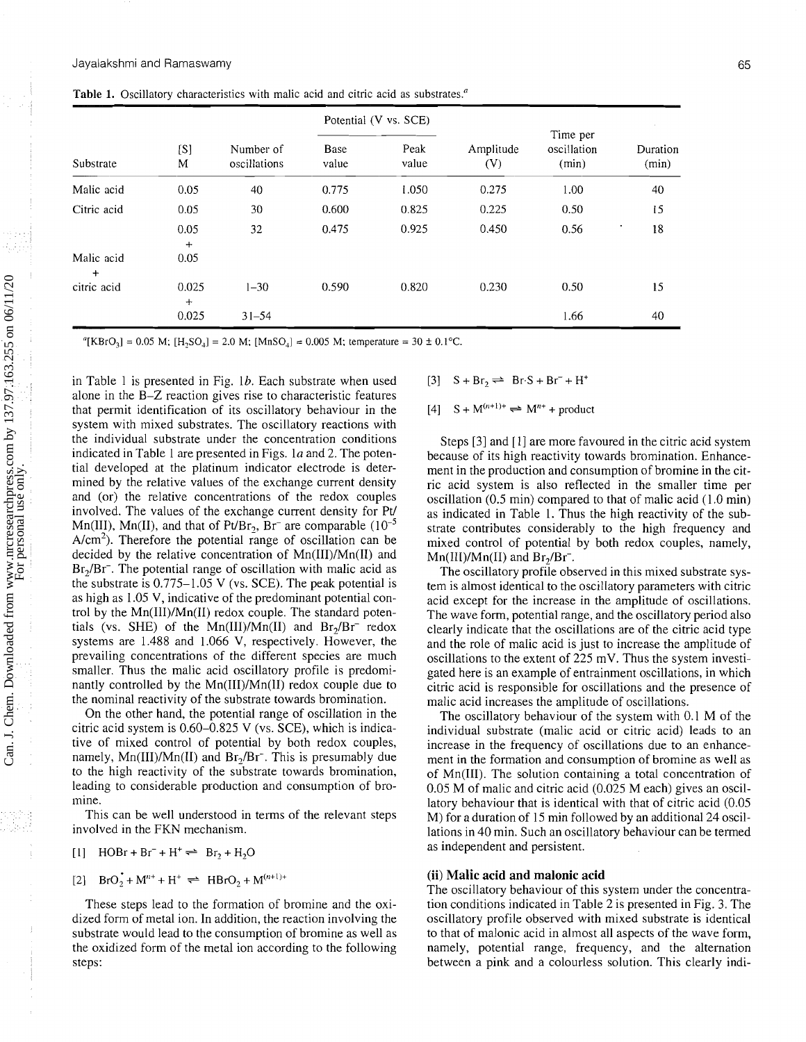|                         | [S]<br>M     | Number of<br>oscillations | Potential (V vs. SCE) |               |                  |                                  |                   |
|-------------------------|--------------|---------------------------|-----------------------|---------------|------------------|----------------------------------|-------------------|
| Substrate               |              |                           | <b>Base</b><br>value  | Peak<br>value | Amplitude<br>(V) | Time per<br>oscillation<br>(min) | Duration<br>(min) |
| Malic acid              | 0.05         | 40                        | 0.775                 | 1.050         | 0.275            | 1.00                             | 40                |
| Citric acid             | 0.05         | 30                        | 0.600                 | 0.825         | 0.225            | 0.50                             | 15                |
|                         | 0.05<br>$+$  | 32                        | 0.475                 | 0.925         | 0.450            | 0.56                             | 18                |
| Malic acid<br>$\ddot{}$ | 0.05         |                           |                       |               |                  |                                  |                   |
| citric acid             | 0.025<br>$+$ | $1 - 30$                  | 0.590                 | 0.820         | 0.230            | 0.50                             | 15                |
|                         | 0.025        | $31 - 54$                 |                       |               |                  | 1.66                             | 40                |

**Table** 1. Oscillatory characteristics with malic acid and citric acid as substrates."

"[KBrO<sub>3</sub>] = 0.05 M; [H<sub>2</sub>SO<sub>4</sub>] = 2.0 M; [MnSO<sub>4</sub>] = 0.005 M; temperature = 30  $\pm$  0.1°C.

in Table 1 is presented in Fig. 1b. Each substrate when used alone in the B-Z reaction gives rise to characteristic features that permit identification of its oscillatory behaviour in the system with mixed substrates. The oscillatory reactions with the individual substrate under the concentration conditions indicated in Table 1 are presented in Figs. la and 2. The potential developed at the platinum indicator electrode is determined by the relative values of the exchange current density and (or) the relative concentrations of the redox couples involved. The values of the exchange current density for Pt/ Mn(III), Mn(II), and that of Pt/Br<sub>2</sub>, Br<sup>-</sup> are comparable  $(10^{-5}$  $A/cm<sup>2</sup>$ ). Therefore the potential range of oscillation can be decided by the relative concentration of Mn(III)/Mn(II) and Br<sub>2</sub>/Br<sup>-</sup>. The potential range of oscillation with malic acid as the substrate is  $0.775-1.05$  V (vs. SCE). The peak potential is as high as 1.05 V, indicative of the predominant potential control by the Mn(III)/Mn(II) redox couple. The standard potentials (vs. SHE) of the Mn(III)/Mn(II) and  $Br<sub>2</sub>/Br<sup>-</sup>$  redox systems are 1.488 and 1.066 V, respectively. However, the prevailing concentrations of the different species are much smaller. Thus the malic acid oscillatory profile is predominantly controlled by the Mn(III)/Mn(II) redox couple due to the nominal reactivity of the substrate towards bromination.

On the other hand, the potential range of oscillation in the citric acid system is 0.60-0.825 V (vs. SCE), which is indicative of mixed control of potential by both redox couples, namely,  $Mn(III)/Mn(II)$  and  $Br<sub>2</sub>/Br<sup>-</sup>$ . This is presumably due to the high reactivity of the substrate towards bromination, leading to considerable production and consumption of bromine.

This can be well understood in terms of the relevant steps involved in the FKN mechanism.

$$
[1] \quad \text{HOBr} + \text{Br}^- + \text{H}^+ \rightleftharpoons \quad \text{Br}_2 + \text{H}_2\text{O}
$$

[2] 
$$
BrO_2 + M^{n+} + H^+ \rightleftharpoons HBrO_2 + M^{(n+1)+}
$$

These steps lead to the formation of bromine and the oxidized form of metal ion. In addition, the reaction involving the substrate would lead to the consumption of bromine as well as the oxidized form of the metal ion according to the following steps:

 $[3]$  S + Br,  $\rightleftharpoons$  Br S + Br<sup>-</sup> + H<sup>+</sup>

### $[4]$  S + M<sup>(n+1)+</sup>  $\Rightarrow$  M<sup>n+</sup> + product

Steps [3] and [l] are more favoured in the citric acid system because of its high reactivity towards bromination. Enhancement in the production and consumption of bromine in the citric acid system is also reflected in the smaller time per oscillation (0.5 min) compared to that of malic acid (1.0 min) as indicated in Table 1. Thus the high reactivity of the substrate contributes considerably to the high frequency and mixed control of potential by both redox couples, namely,  $Mn(III)/Mn(II)$  and  $Br<sub>2</sub>/Br<sup>-</sup>$ .

The oscillatory profile observed in this mixed substrate system is almost identical to the oscillatory parameters with citric acid except for the increase in the amplitude of oscillations. The wave form, potential range, and the oscillatory period also clearly indicate that the oscillations are of the citric acid type and the role of malic acid is just to increase the amplitude of oscillations to the extent of 225 mV. Thus the system investigated here is an example of entrainment oscillations, in which citric acid is responsible for oscillations and the presence of malic acid increases the amplitude of oscillations.

The oscillatory behaviour of the system with 0.1 M of the individual substrate (malic acid or citric acid) leads to an increase in the frequency of oscillations due to an enhancement in the formation and consumption of bromine as well as of Mn(II1). The solution containing a total concentration of 0.05 M of malic and citric acid (0.025 M each) gives an oscillatory behaviour that is identical with that of citric acid (0.05 M) for a duration of 15 min followed by an additional 24 oscillations in 40 min. Such an oscillatory behaviour can be termed as independent and persistent.

### (ii) **Malic acid and malonic acid**

The oscillatory behaviour of this system under the concentration conditions indicated in Table 2 is presented in Fig. 3. The oscillatory profile observed with mixed substrate is identical to that of malonic acid in almost all aspects of the wave form, namely, potential range, frequency, and the alternation between a pink and a colourless solution. This clearly indi-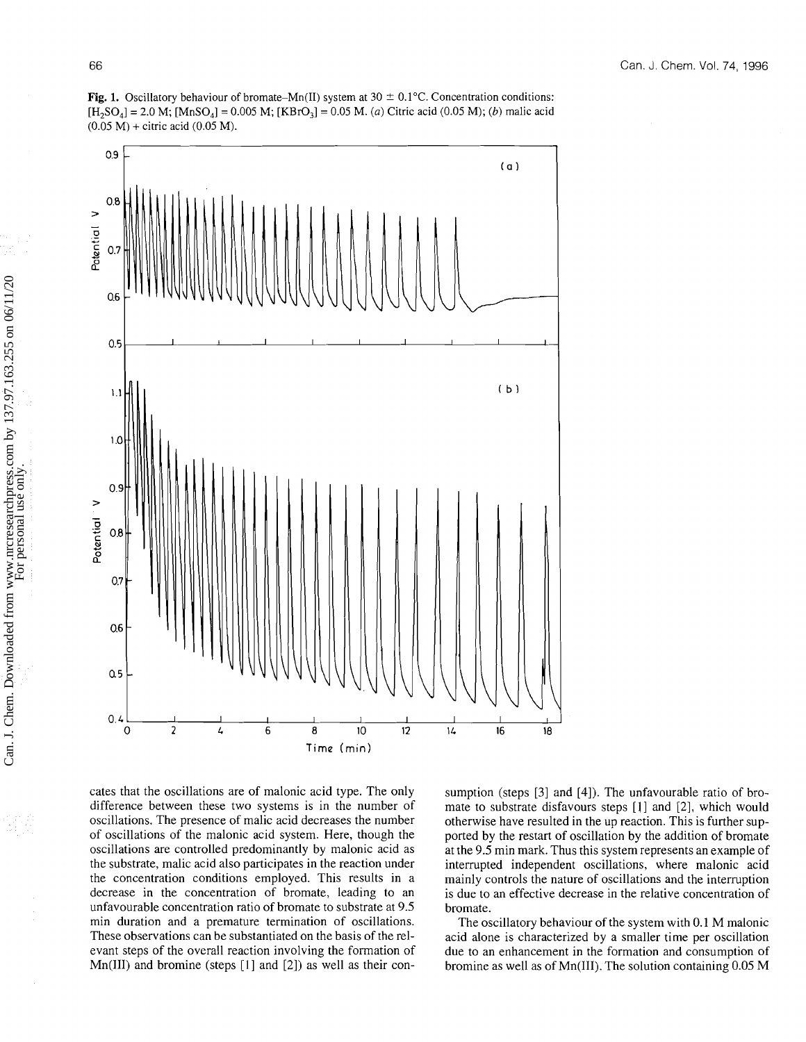



cates that the oscillations are of malonic acid type. The only difference between these two systems is in the number of oscillations. The presence of malic acid decreases the number of oscillations of the malonic acid system. Here, though the oscillations are controlled predominantly by malonic acid as the substrate, malic acid also participates in the reaction under the concentration conditions employed. This results in a decrease in the concentration of bromate, leading to an unfavourable concentration ratio of bromate to substrate at 9.5 min duration and a premature termination of oscillations. These observations can be substantiated on the basis of the relevant steps of the overall reaction involving the formation of Mn(1II) and bromine (steps [I] and *[2])* as well as their con-

sumption (steps [3] and [4]). The unfavourable ratio of bromate to substrate disfavours steps [I] and *[2],* which would otherwise have resulted in the up reaction. This is further supported by the restart of oscillation by the addition of bromate at the 9.5 min mark. Thus this system represents an example of interrupted independent oscillations, where malonic acid mainly controls the nature of oscillations and the interruption is due to an effective decrease in the relative concentration of bromate.

The oscillatory behaviour of the system with 0.1 M malonic acid alone is characterized by a smaller time per oscillation due to an enhancement in the formation and consumption of bromine as well as of Mn(II1). The solution containing 0.05 M

壽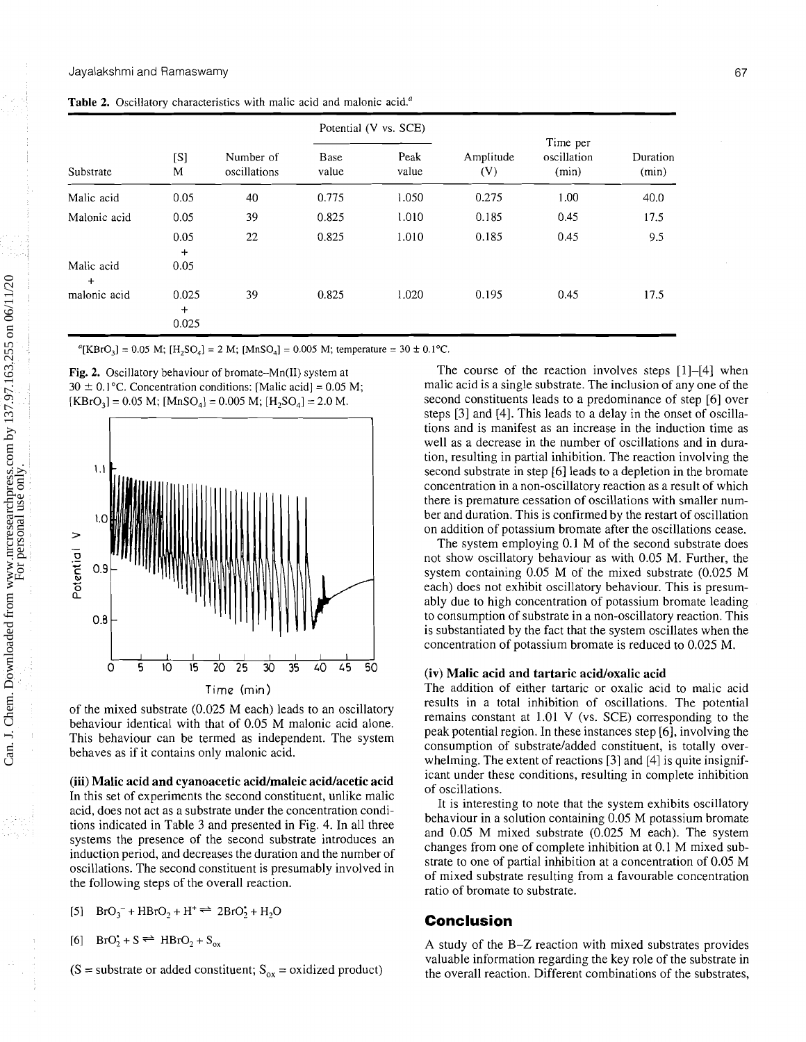|                         | [S]<br>M              | Number of<br>oscillations | Potential (V vs. SCE) |               |                  |                                  |                   |
|-------------------------|-----------------------|---------------------------|-----------------------|---------------|------------------|----------------------------------|-------------------|
| Substrate               |                       |                           | Base<br>value         | Peak<br>value | Amplitude<br>(V) | Time per<br>oscillation<br>(min) | Duration<br>(min) |
| Malic acid              | 0.05                  | 40                        | 0.775                 | 1.050         | 0.275            | 1.00                             | 40.0              |
| Malonic acid            | 0.05                  | 39                        | 0.825                 | 1.010         | 0.185            | 0.45                             | 17.5              |
|                         | 0.05<br>$+$           | 22                        | 0.825                 | 1.010         | 0.185            | 0.45                             | 9.5               |
| Malic acid<br>$\ddot{}$ | 0.05                  |                           |                       |               |                  |                                  |                   |
| malonic acid            | 0.025<br>$+$<br>0.025 | 39                        | 0.825                 | 1.020         | 0.195            | 0.45                             | 17.5              |

Table 2. Oscillatory characteristics with malic acid and malonic acid.<sup>a</sup>

"[KBrO<sub>3</sub>] = 0.05 M; [H<sub>2</sub>SO<sub>4</sub>] = 2 M; [MnSO<sub>4</sub>] = 0.005 M; temperature = 30 ± 0.1°C.

**Fig. 2.** Oscillatory behaviour of bromate-Mn(I1) system at  $30 \pm 0.1$  °C. Concentration conditions: [Malic acid] = 0.05 M;  $[KBrO<sub>3</sub>] = 0.05 M$ ;  $[MnSO<sub>4</sub>] = 0.005 M$ ;  $[H<sub>3</sub>SO<sub>4</sub>] = 2.0 M$ .



of the mixed substrate (0.025 M each) leads to an oscillatory behaviour identical with that of 0.05 M malonic acid alone. This behaviour can be termed as independent. The system behaves as if it contains only malonic acid.

In this set of experiments the second constituent, unlike malic  $\frac{1}{k}$  is interesting to note that the system exhibits oscillatory acid, does not act as a substrate under the concentration condi-<br>tions indicated in Table 3 and presented in Fig. 4. In all three<br>behaviour in a solution containing 0.05 M potassium bromate tions indicated in Table 3 and presented in Fig. 4. In all three and 0.05 M mixed substrate (0.025 M each). The system systems the presence of the second substrate introduces an induction period, and decreases the duration and the number of changes from one of complete inhibition at 0.1 M mixed sub-<br>strate to one of partial inhibition at a concentration of 0.05 M

 $[5]$  BrO<sub>3</sub><sup>-</sup> + HBrO<sub>2</sub> + H<sup>+</sup>  $\rightleftharpoons$  2BrO<sub>2</sub><sup>+</sup> + H<sub>2</sub>O **Conclusion** 

$$
[6] \quad \text{BrO}_2^{\bullet} + S \rightleftharpoons \text{HBrO}_2 + S_{\text{ox}}
$$

The course of the reaction involves steps [I]-[4] when malic acid is a single substrate. The inclusion of any one of the second constituents leads to a predominance of step [6] over steps [3] and [4]. This leads to a delay in the onset of oscillations and is manifest as an increase in the induction time as well as a decrease in the number of oscillations and in duration, resulting in partial inhibition. The reaction involving the second substrate in step [6] leads to a depletion in the bromate concentration in a non-oscillatory reaction as a result of which there is premature cessation of oscillations with smaller number and duration. This is confirmed by the restart of oscillation on addition of potassium bromate after the oscillations cease.

The system employing 0.1 M of the second substrate does not show oscillatory behaviour as with 0.05 M. Further, the system containing 0.05 M of the mixed substrate (0.025 M each) does not exhibit oscillatory behaviour. This is presumably due to high concentration of potassium bromate leading to consumption of substrate in a non-oscillatory reaction. This is substantiated by the fact that the system oscillates when the concentration of potassium bromate is reduced to 0.025 M.

### **(iv) Malic acid and tartaric acidoxalic acid**

The addition of either tartaric or oxalic acid to malic acid results in a total inhibition of oscillations. The potential remains constant at 1.01 V (vs. **SCE)** corresponding to the peak potential region. In these instances step [6], involving the consumption of substrate/added constituent, is totally overwhelming. The extent of reactions [3] and [4] is quite insignif- (iii) Malic acid and cyanoacetic acid/maleic acid/acetic acid icant under these conditions, resulting in complete inhibition<br>
of oscillations.

oscillations. The second constituent is presumably involved in<br>the following steps of the overall reaction.<br>the following steps of the overall reaction.<br>ratio of bromate to substrate.

A study of the B-Z reaction with mixed substrates provides valuable information regarding the key role of the substrate in  $(S = \text{substrate or added constituent}; S_{ox} = \text{oxidized product})$  the overall reaction. Different combinations of the substrates,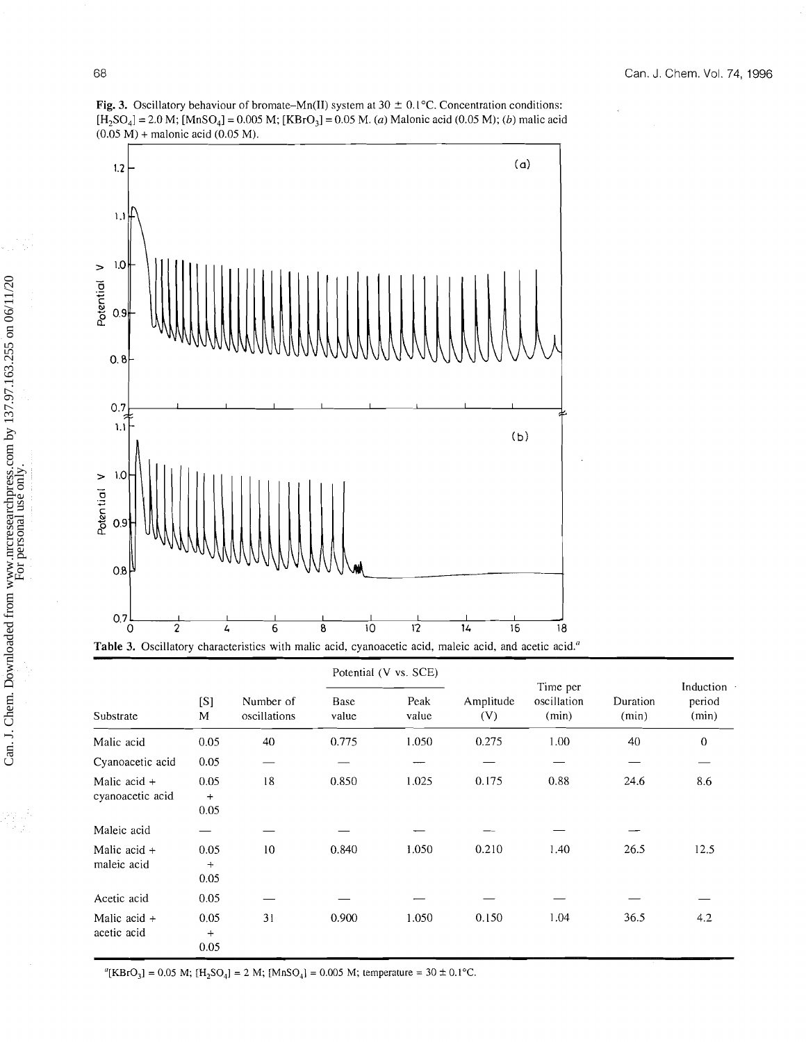**Fig. 3.** Oscillatory behaviour of bromate-Mn(II) system at  $30 \pm 0.1^{\circ}$ C. Concentration conditions:  $[H_2SO_4] = 2.0 M$ ;  $[MnSO_4] = 0.005 M$ ;  $[KBrO_3] = 0.05 M$ . (a) Malonic acid (0.05 M); (b) malic acid  $(0.05 M) +$  malonic acid  $(0.05 M)$ .



|                                    | [S]<br>M                  | Number of<br>oscillations | Potential (V vs. SCE) |               |                  |                                  |                   |                                      |
|------------------------------------|---------------------------|---------------------------|-----------------------|---------------|------------------|----------------------------------|-------------------|--------------------------------------|
| Substrate                          |                           |                           | Base<br>value         | Peak<br>value | Amplitude<br>(V) | Time per<br>oscillation<br>(min) | Duration<br>(min) | Induction $\cdot$<br>period<br>(min) |
| Malic acid                         | 0.05                      | 40                        | 0.775                 | 1.050         | 0.275            | 1.00                             | 40                | $\theta$                             |
| Cyanoacetic acid                   | 0.05                      |                           |                       |               |                  |                                  |                   |                                      |
| Malic acid $+$<br>cyanoacetic acid | 0.05<br>$\ddot{}$<br>0.05 | 18                        | 0.850                 | 1.025         | 0.175            | 0.88                             | 24.6              | 8.6                                  |
| Maleic acid                        |                           |                           |                       |               |                  |                                  |                   |                                      |
| Malic acid $+$<br>maleic acid      | 0.05<br>$+$<br>0.05       | 10                        | 0.840                 | 1.050         | 0.210            | 1.40                             | 26.5              | 12.5                                 |
| Acetic acid                        | 0.05                      |                           |                       |               |                  |                                  |                   |                                      |
| Malic acid $+$<br>acetic acid      | 0.05<br>$+$<br>0.05       | 31                        | 0.900                 | 1.050         | 0.150            | 1.04                             | 36.5              | 4.2                                  |

"[KBrO<sub>3</sub>] = 0.05 M; [H<sub>2</sub>SO<sub>4</sub>] = 2 M; [MnSO<sub>4</sub>] = 0.005 M; temperature = 30 ± 0.1°C.

ę

e,